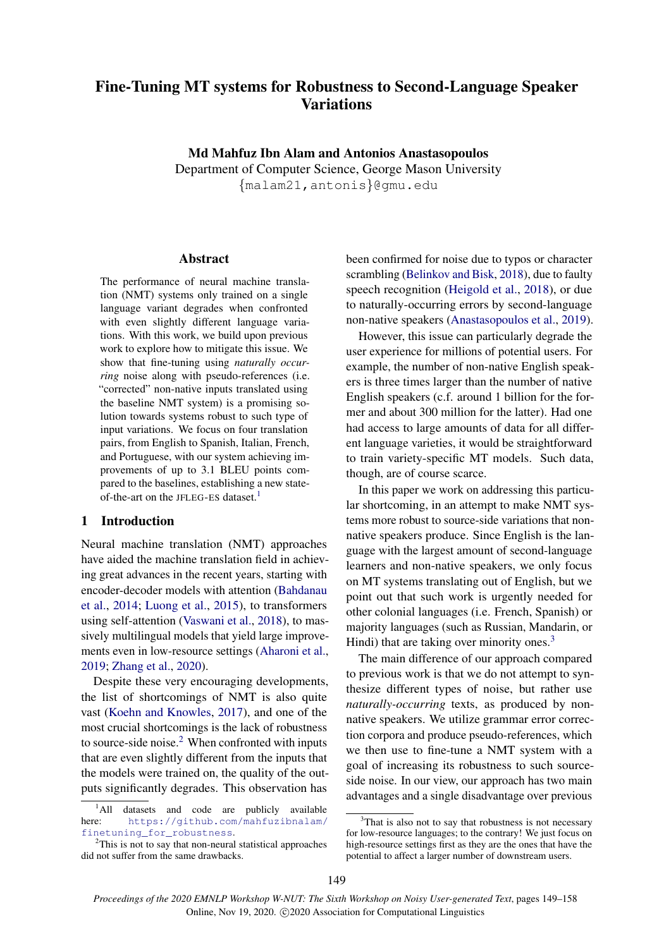# Fine-Tuning MT systems for Robustness to Second-Language Speaker **Variations**

Md Mahfuz Ibn Alam and Antonios Anastasopoulos

Department of Computer Science, George Mason University {malam21,antonis}@gmu.edu

#### Abstract

The performance of neural machine translation (NMT) systems only trained on a single language variant degrades when confronted with even slightly different language variations. With this work, we build upon previous work to explore how to mitigate this issue. We show that fine-tuning using *naturally occurring* noise along with pseudo-references (i.e. "corrected" non-native inputs translated using the baseline NMT system) is a promising solution towards systems robust to such type of input variations. We focus on four translation pairs, from English to Spanish, Italian, French, and Portuguese, with our system achieving improvements of up to 3.1 BLEU points compared to the baselines, establishing a new state-of-the-art on the JFLEG-ES dataset.<sup>[1](#page-0-0)</sup>

#### 1 Introduction

Neural machine translation (NMT) approaches have aided the machine translation field in achieving great advances in the recent years, starting with encoder-decoder models with attention [\(Bahdanau](#page-7-0) [et al.,](#page-7-0) [2014;](#page-7-0) [Luong et al.,](#page-8-0) [2015\)](#page-8-0), to transformers using self-attention [\(Vaswani et al.,](#page-9-0) [2018\)](#page-9-0), to massively multilingual models that yield large improvements even in low-resource settings [\(Aharoni et al.,](#page-7-1) [2019;](#page-7-1) [Zhang et al.,](#page-9-1) [2020\)](#page-9-1).

Despite these very encouraging developments, the list of shortcomings of NMT is also quite vast [\(Koehn and Knowles,](#page-8-1) [2017\)](#page-8-1), and one of the most crucial shortcomings is the lack of robustness to source-side noise. $2$  When confronted with inputs that are even slightly different from the inputs that the models were trained on, the quality of the outputs significantly degrades. This observation has

been confirmed for noise due to typos or character scrambling [\(Belinkov and Bisk,](#page-7-2) [2018\)](#page-7-2), due to faulty speech recognition [\(Heigold et al.,](#page-8-2) [2018\)](#page-8-2), or due to naturally-occurring errors by second-language non-native speakers [\(Anastasopoulos et al.,](#page-7-3) [2019\)](#page-7-3).

However, this issue can particularly degrade the user experience for millions of potential users. For example, the number of non-native English speakers is three times larger than the number of native English speakers (c.f. around 1 billion for the former and about 300 million for the latter). Had one had access to large amounts of data for all different language varieties, it would be straightforward to train variety-specific MT models. Such data, though, are of course scarce.

In this paper we work on addressing this particular shortcoming, in an attempt to make NMT systems more robust to source-side variations that nonnative speakers produce. Since English is the language with the largest amount of second-language learners and non-native speakers, we only focus on MT systems translating out of English, but we point out that such work is urgently needed for other colonial languages (i.e. French, Spanish) or majority languages (such as Russian, Mandarin, or Hindi) that are taking over minority ones.<sup>[3](#page-0-2)</sup>

The main difference of our approach compared to previous work is that we do not attempt to synthesize different types of noise, but rather use *naturally-occurring* texts, as produced by nonnative speakers. We utilize grammar error correction corpora and produce pseudo-references, which we then use to fine-tune a NMT system with a goal of increasing its robustness to such sourceside noise. In our view, our approach has two main advantages and a single disadvantage over previous

<span id="page-0-0"></span><sup>&</sup>lt;sup>1</sup>All datasets and code are publicly available here: [https://github.com/mahfuzibnalam/](https://github.com/mahfuzibnalam/finetuning_for_robustness) [finetuning\\_for\\_robustness](https://github.com/mahfuzibnalam/finetuning_for_robustness).

<span id="page-0-1"></span><sup>2</sup>This is not to say that non-neural statistical approaches did not suffer from the same drawbacks.

<span id="page-0-2"></span> $3$ That is also not to say that robustness is not necessary for low-resource languages; to the contrary! We just focus on high-resource settings first as they are the ones that have the potential to affect a larger number of downstream users.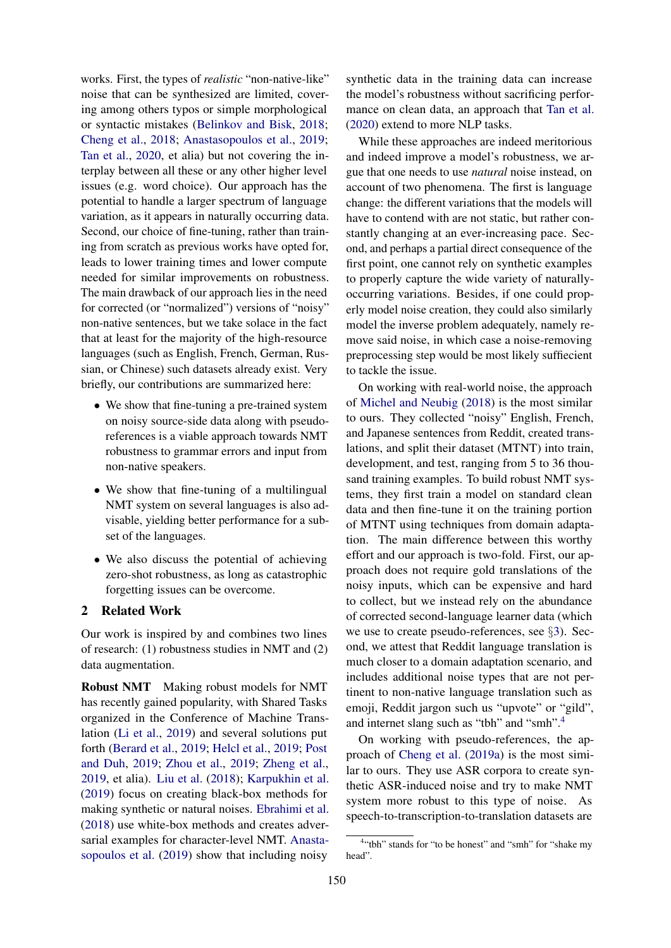works. First, the types of *realistic* "non-native-like" noise that can be synthesized are limited, covering among others typos or simple morphological or syntactic mistakes [\(Belinkov and Bisk,](#page-7-2) [2018;](#page-7-2) [Cheng et al.,](#page-7-4) [2018;](#page-7-4) [Anastasopoulos et al.,](#page-7-3) [2019;](#page-7-3) [Tan et al.,](#page-9-2) [2020,](#page-9-2) et alia) but not covering the interplay between all these or any other higher level issues (e.g. word choice). Our approach has the potential to handle a larger spectrum of language variation, as it appears in naturally occurring data. Second, our choice of fine-tuning, rather than training from scratch as previous works have opted for, leads to lower training times and lower compute needed for similar improvements on robustness. The main drawback of our approach lies in the need for corrected (or "normalized") versions of "noisy" non-native sentences, but we take solace in the fact that at least for the majority of the high-resource languages (such as English, French, German, Russian, or Chinese) such datasets already exist. Very briefly, our contributions are summarized here:

- We show that fine-tuning a pre-trained system on noisy source-side data along with pseudoreferences is a viable approach towards NMT robustness to grammar errors and input from non-native speakers.
- We show that fine-tuning of a multilingual NMT system on several languages is also advisable, yielding better performance for a subset of the languages.
- We also discuss the potential of achieving zero-shot robustness, as long as catastrophic forgetting issues can be overcome.

# 2 Related Work

Our work is inspired by and combines two lines of research: (1) robustness studies in NMT and (2) data augmentation.

Robust NMT Making robust models for NMT has recently gained popularity, with Shared Tasks organized in the Conference of Machine Translation [\(Li et al.,](#page-8-3) [2019\)](#page-8-3) and several solutions put forth [\(Berard et al.,](#page-7-5) [2019;](#page-7-5) [Helcl et al.,](#page-8-4) [2019;](#page-8-4) [Post](#page-9-3) [and Duh,](#page-9-3) [2019;](#page-9-3) [Zhou et al.,](#page-9-4) [2019;](#page-9-4) [Zheng et al.,](#page-9-5) [2019,](#page-9-5) et alia). [Liu et al.](#page-8-5) [\(2018\)](#page-8-5); [Karpukhin et al.](#page-8-6) [\(2019\)](#page-8-6) focus on creating black-box methods for making synthetic or natural noises. [Ebrahimi et al.](#page-7-6) [\(2018\)](#page-7-6) use white-box methods and creates adversarial examples for character-level NMT. [Anasta](#page-7-3)[sopoulos et al.](#page-7-3) [\(2019\)](#page-7-3) show that including noisy

synthetic data in the training data can increase the model's robustness without sacrificing performance on clean data, an approach that [Tan et al.](#page-9-2) [\(2020\)](#page-9-2) extend to more NLP tasks.

While these approaches are indeed meritorious and indeed improve a model's robustness, we argue that one needs to use *natural* noise instead, on account of two phenomena. The first is language change: the different variations that the models will have to contend with are not static, but rather constantly changing at an ever-increasing pace. Second, and perhaps a partial direct consequence of the first point, one cannot rely on synthetic examples to properly capture the wide variety of naturallyoccurring variations. Besides, if one could properly model noise creation, they could also similarly model the inverse problem adequately, namely remove said noise, in which case a noise-removing preprocessing step would be most likely suffiecient to tackle the issue.

On working with real-world noise, the approach of [Michel and Neubig](#page-8-7) [\(2018\)](#page-8-7) is the most similar to ours. They collected "noisy" English, French, and Japanese sentences from Reddit, created translations, and split their dataset (MTNT) into train, development, and test, ranging from 5 to 36 thousand training examples. To build robust NMT systems, they first train a model on standard clean data and then fine-tune it on the training portion of MTNT using techniques from domain adaptation. The main difference between this worthy effort and our approach is two-fold. First, our approach does not require gold translations of the noisy inputs, which can be expensive and hard to collect, but we instead rely on the abundance of corrected second-language learner data (which we use to create pseudo-references, see §[3\)](#page-2-0). Second, we attest that Reddit language translation is much closer to a domain adaptation scenario, and includes additional noise types that are not pertinent to non-native language translation such as emoji, Reddit jargon such us "upvote" or "gild", and internet slang such as "tbh" and "smh".[4](#page-1-0)

On working with pseudo-references, the approach of [Cheng et al.](#page-7-7) [\(2019a\)](#page-7-7) is the most similar to ours. They use ASR corpora to create synthetic ASR-induced noise and try to make NMT system more robust to this type of noise. As speech-to-transcription-to-translation datasets are

<span id="page-1-0"></span><sup>&</sup>lt;sup>4"</sup>tbh" stands for "to be honest" and "smh" for "shake my head".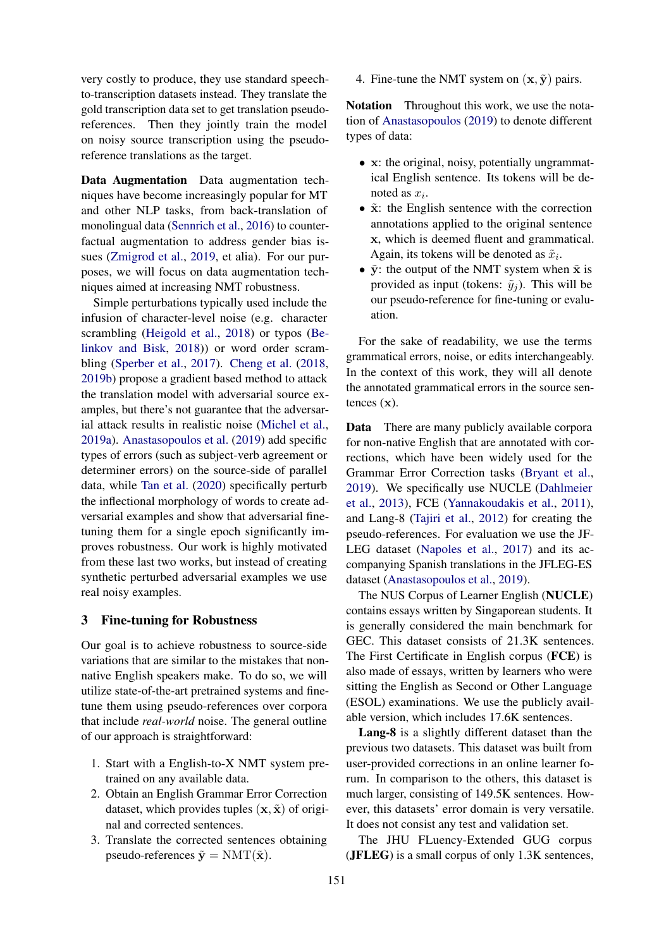very costly to produce, they use standard speechto-transcription datasets instead. They translate the gold transcription data set to get translation pseudoreferences. Then they jointly train the model on noisy source transcription using the pseudoreference translations as the target.

Data Augmentation Data augmentation techniques have become increasingly popular for MT and other NLP tasks, from back-translation of monolingual data [\(Sennrich et al.,](#page-9-6) [2016\)](#page-9-6) to counterfactual augmentation to address gender bias issues [\(Zmigrod et al.,](#page-9-7) [2019,](#page-9-7) et alia). For our purposes, we will focus on data augmentation techniques aimed at increasing NMT robustness.

Simple perturbations typically used include the infusion of character-level noise (e.g. character scrambling [\(Heigold et al.,](#page-8-2) [2018\)](#page-8-2) or typos [\(Be](#page-7-2)[linkov and Bisk,](#page-7-2) [2018\)](#page-7-2)) or word order scrambling [\(Sperber et al.,](#page-9-8) [2017\)](#page-9-8). [Cheng et al.](#page-7-4) [\(2018,](#page-7-4) [2019b\)](#page-7-8) propose a gradient based method to attack the translation model with adversarial source examples, but there's not guarantee that the adversarial attack results in realistic noise [\(Michel et al.,](#page-8-8) [2019a\)](#page-8-8). [Anastasopoulos et al.](#page-7-3) [\(2019\)](#page-7-3) add specific types of errors (such as subject-verb agreement or determiner errors) on the source-side of parallel data, while [Tan et al.](#page-9-2) [\(2020\)](#page-9-2) specifically perturb the inflectional morphology of words to create adversarial examples and show that adversarial finetuning them for a single epoch significantly improves robustness. Our work is highly motivated from these last two works, but instead of creating synthetic perturbed adversarial examples we use real noisy examples.

#### <span id="page-2-0"></span>3 Fine-tuning for Robustness

Our goal is to achieve robustness to source-side variations that are similar to the mistakes that nonnative English speakers make. To do so, we will utilize state-of-the-art pretrained systems and finetune them using pseudo-references over corpora that include *real-world* noise. The general outline of our approach is straightforward:

- 1. Start with a English-to-X NMT system pretrained on any available data.
- 2. Obtain an English Grammar Error Correction dataset, which provides tuples  $(x, \tilde{x})$  of original and corrected sentences.
- 3. Translate the corrected sentences obtaining pseudo-references  $\tilde{\mathbf{y}} = \text{NMT}(\tilde{\mathbf{x}})$ .

4. Fine-tune the NMT system on  $(x, \tilde{y})$  pairs.

Notation Throughout this work, we use the notation of [Anastasopoulos](#page-7-9) [\(2019\)](#page-7-9) to denote different types of data:

- x: the original, noisy, potentially ungrammatical English sentence. Its tokens will be denoted as  $x_i$ .
- $\tilde{x}$ : the English sentence with the correction annotations applied to the original sentence x, which is deemed fluent and grammatical. Again, its tokens will be denoted as  $\tilde{x}_i$ .
- $\tilde{y}$ : the output of the NMT system when  $\tilde{x}$  is provided as input (tokens:  $\tilde{y}_j$ ). This will be our pseudo-reference for fine-tuning or evaluation.

For the sake of readability, we use the terms grammatical errors, noise, or edits interchangeably. In the context of this work, they will all denote the annotated grammatical errors in the source sentences  $(x)$ .

Data There are many publicly available corpora for non-native English that are annotated with corrections, which have been widely used for the Grammar Error Correction tasks [\(Bryant et al.,](#page-7-10) [2019\)](#page-7-10). We specifically use NUCLE [\(Dahlmeier](#page-7-11) [et al.,](#page-7-11) [2013\)](#page-7-11), FCE [\(Yannakoudakis et al.,](#page-9-9) [2011\)](#page-9-9), and Lang-8 [\(Tajiri et al.,](#page-9-10) [2012\)](#page-9-10) for creating the pseudo-references. For evaluation we use the JF-LEG dataset [\(Napoles et al.,](#page-8-9) [2017\)](#page-8-9) and its accompanying Spanish translations in the JFLEG-ES dataset [\(Anastasopoulos et al.,](#page-7-3) [2019\)](#page-7-3).

The NUS Corpus of Learner English (NUCLE) contains essays written by Singaporean students. It is generally considered the main benchmark for GEC. This dataset consists of 21.3K sentences. The First Certificate in English corpus (FCE) is also made of essays, written by learners who were sitting the English as Second or Other Language (ESOL) examinations. We use the publicly available version, which includes 17.6K sentences.

Lang-8 is a slightly different dataset than the previous two datasets. This dataset was built from user-provided corrections in an online learner forum. In comparison to the others, this dataset is much larger, consisting of 149.5K sentences. However, this datasets' error domain is very versatile. It does not consist any test and validation set.

The JHU FLuency-Extended GUG corpus (JFLEG) is a small corpus of only 1.3K sentences,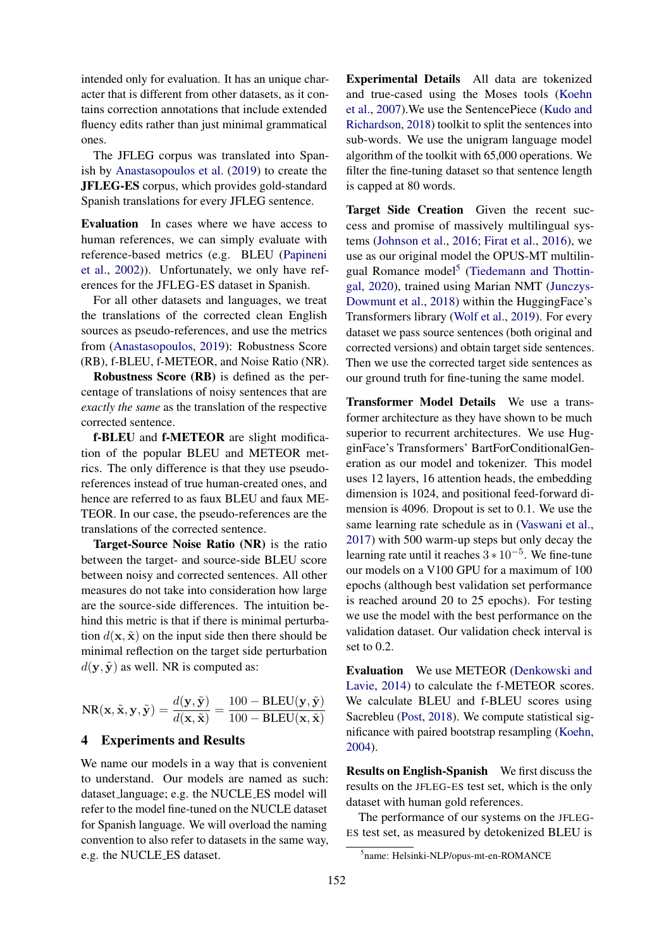intended only for evaluation. It has an unique character that is different from other datasets, as it contains correction annotations that include extended fluency edits rather than just minimal grammatical ones.

The JFLEG corpus was translated into Spanish by [Anastasopoulos et al.](#page-7-3) [\(2019\)](#page-7-3) to create the JFLEG-ES corpus, which provides gold-standard Spanish translations for every JFLEG sentence.

Evaluation In cases where we have access to human references, we can simply evaluate with reference-based metrics (e.g. BLEU [\(Papineni](#page-8-10) [et al.,](#page-8-10) [2002\)](#page-8-10)). Unfortunately, we only have references for the JFLEG-ES dataset in Spanish.

For all other datasets and languages, we treat the translations of the corrected clean English sources as pseudo-references, and use the metrics from [\(Anastasopoulos,](#page-7-9) [2019\)](#page-7-9): Robustness Score (RB), f-BLEU, f-METEOR, and Noise Ratio (NR).

Robustness Score (RB) is defined as the percentage of translations of noisy sentences that are *exactly the same* as the translation of the respective corrected sentence.

f-BLEU and f-METEOR are slight modification of the popular BLEU and METEOR metrics. The only difference is that they use pseudoreferences instead of true human-created ones, and hence are referred to as faux BLEU and faux ME-TEOR. In our case, the pseudo-references are the translations of the corrected sentence.

Target-Source Noise Ratio (NR) is the ratio between the target- and source-side BLEU score between noisy and corrected sentences. All other measures do not take into consideration how large are the source-side differences. The intuition behind this metric is that if there is minimal perturbation  $d(\mathbf{x}, \tilde{\mathbf{x}})$  on the input side then there should be minimal reflection on the target side perturbation  $d(\mathbf{y}, \tilde{\mathbf{y}})$  as well. NR is computed as:

$$
NR(\mathbf{x}, \tilde{\mathbf{x}}, \mathbf{y}, \tilde{\mathbf{y}}) = \frac{d(\mathbf{y}, \tilde{\mathbf{y}})}{d(\mathbf{x}, \tilde{\mathbf{x}})} = \frac{100 - BLEU(\mathbf{y}, \tilde{\mathbf{y}})}{100 - BLEU(\mathbf{x}, \tilde{\mathbf{x}})}
$$

### 4 Experiments and Results

We name our models in a way that is convenient to understand. Our models are named as such: dataset language; e.g. the NUCLE ES model will refer to the model fine-tuned on the NUCLE dataset for Spanish language. We will overload the naming convention to also refer to datasets in the same way, e.g. the NUCLE ES dataset.

Experimental Details All data are tokenized and true-cased using the Moses tools [\(Koehn](#page-8-11) [et al.,](#page-8-11) [2007\)](#page-8-11).We use the SentencePiece [\(Kudo and](#page-8-12) [Richardson,](#page-8-12) [2018\)](#page-8-12) toolkit to split the sentences into sub-words. We use the unigram language model algorithm of the toolkit with 65,000 operations. We filter the fine-tuning dataset so that sentence length is capped at 80 words.

Target Side Creation Given the recent success and promise of massively multilingual systems [\(Johnson et al.,](#page-8-13) [2016;](#page-8-13) [Firat et al.,](#page-7-12) [2016\)](#page-7-12), we use as our original model the OPUS-MT multilin-gual Romance model<sup>[5](#page-3-0)</sup> [\(Tiedemann and Thottin](#page-9-11)[gal,](#page-9-11) [2020\)](#page-9-11), trained using Marian NMT [\(Junczys-](#page-8-14)[Dowmunt et al.,](#page-8-14) [2018\)](#page-8-14) within the HuggingFace's Transformers library [\(Wolf et al.,](#page-9-12) [2019\)](#page-9-12). For every dataset we pass source sentences (both original and corrected versions) and obtain target side sentences. Then we use the corrected target side sentences as our ground truth for fine-tuning the same model.

Transformer Model Details We use a transformer architecture as they have shown to be much superior to recurrent architectures. We use HugginFace's Transformers' BartForConditionalGeneration as our model and tokenizer. This model uses 12 layers, 16 attention heads, the embedding dimension is 1024, and positional feed-forward dimension is 4096. Dropout is set to 0.1. We use the same learning rate schedule as in [\(Vaswani et al.,](#page-9-13) [2017\)](#page-9-13) with 500 warm-up steps but only decay the learning rate until it reaches  $3 * 10^{-5}$ . We fine-tune our models on a V100 GPU for a maximum of 100 epochs (although best validation set performance is reached around 20 to 25 epochs). For testing we use the model with the best performance on the validation dataset. Our validation check interval is set to 0.2.

Evaluation We use METEOR [\(Denkowski and](#page-7-13) [Lavie,](#page-7-13) [2014\)](#page-7-13) to calculate the f-METEOR scores. We calculate BLEU and f-BLEU scores using Sacrebleu [\(Post,](#page-9-14) [2018\)](#page-9-14). We compute statistical significance with paired bootstrap resampling [\(Koehn,](#page-8-15) [2004\)](#page-8-15).

Results on English-Spanish We first discuss the results on the JFLEG-ES test set, which is the only dataset with human gold references.

The performance of our systems on the JFLEG-ES test set, as measured by detokenized BLEU is

<span id="page-3-0"></span><sup>5</sup> name: Helsinki-NLP/opus-mt-en-ROMANCE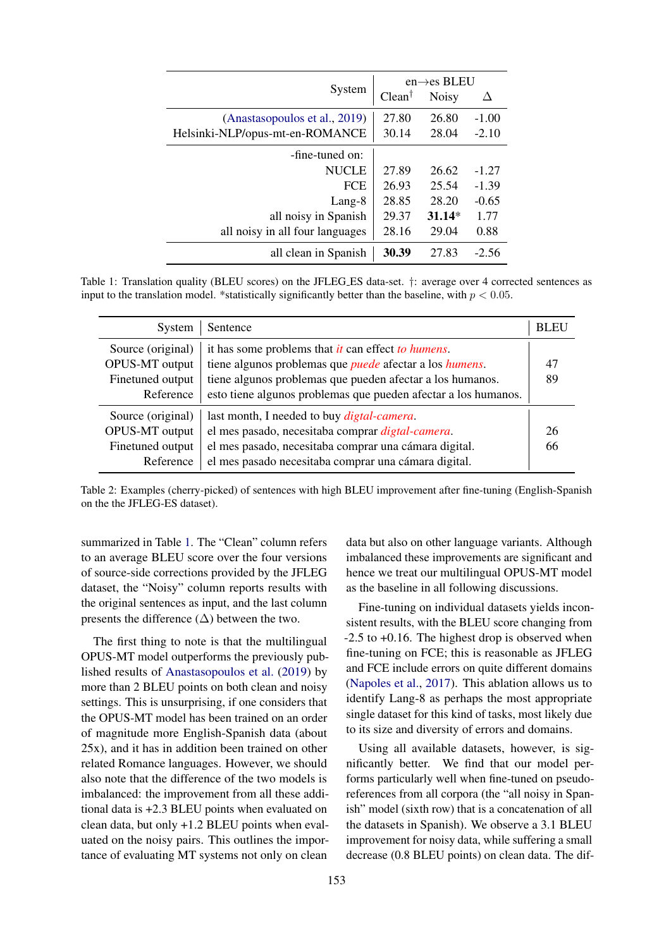<span id="page-4-0"></span>

|                                 | $en \rightarrow es$ BLEU |              |         |
|---------------------------------|--------------------------|--------------|---------|
| System                          | $Clean^{\dagger}$        | <b>Noisy</b> | Л       |
| (Anastasopoulos et al., 2019)   | 27.80                    | 26.80        | $-1.00$ |
| Helsinki-NLP/opus-mt-en-ROMANCE | 30.14                    | 28.04        | $-2.10$ |
| -fine-tuned on:                 |                          |              |         |
| <b>NUCLE</b>                    | 27.89                    | 26.62        | $-1.27$ |
| FCE                             | 26.93                    | 25.54        | $-1.39$ |
| Lang-8                          | 28.85                    | 28.20        | $-0.65$ |
| all noisy in Spanish            | 29.37                    | $31.14*$     | 1.77    |
| all noisy in all four languages | 28.16                    | 29.04        | 0.88    |
| all clean in Spanish            | 30.39                    | 27.83        | $-2.56$ |

Table 1: Translation quality (BLEU scores) on the JFLEG ES data-set. †: average over 4 corrected sentences as input to the translation model. \*statistically significantly better than the baseline, with  $p < 0.05$ .

<span id="page-4-1"></span>

| System                                                               | Sentence                                                                                                                                                                                                                                                                   | <b>BLEU</b> |
|----------------------------------------------------------------------|----------------------------------------------------------------------------------------------------------------------------------------------------------------------------------------------------------------------------------------------------------------------------|-------------|
| Source (original)<br>OPUS-MT output<br>Finetuned output<br>Reference | it has some problems that <i>it</i> can effect <i>to humens</i> .<br>tiene algunos problemas que <i>puede</i> afectar a los <i>humens</i> .<br>tiene algunos problemas que pueden afectar a los humanos.<br>esto tiene algunos problemas que pueden afectar a los humanos. | 47<br>89    |
| Source (original)<br>OPUS-MT output<br>Finetuned output<br>Reference | last month, I needed to buy <i>digtal-camera</i> .<br>el mes pasado, necesitaba comprar <i>digtal-camera</i> .<br>el mes pasado, necesitaba comprar una cámara digital.<br>el mes pasado necesitaba comprar una cámara digital.                                            | 26<br>66    |

Table 2: Examples (cherry-picked) of sentences with high BLEU improvement after fine-tuning (English-Spanish on the the JFLEG-ES dataset).

summarized in Table [1.](#page-4-0) The "Clean" column refers to an average BLEU score over the four versions of source-side corrections provided by the JFLEG dataset, the "Noisy" column reports results with the original sentences as input, and the last column presents the difference  $(\Delta)$  between the two.

The first thing to note is that the multilingual OPUS-MT model outperforms the previously published results of [Anastasopoulos et al.](#page-7-3) [\(2019\)](#page-7-3) by more than 2 BLEU points on both clean and noisy settings. This is unsurprising, if one considers that the OPUS-MT model has been trained on an order of magnitude more English-Spanish data (about 25x), and it has in addition been trained on other related Romance languages. However, we should also note that the difference of the two models is imbalanced: the improvement from all these additional data is +2.3 BLEU points when evaluated on clean data, but only +1.2 BLEU points when evaluated on the noisy pairs. This outlines the importance of evaluating MT systems not only on clean

data but also on other language variants. Although imbalanced these improvements are significant and hence we treat our multilingual OPUS-MT model as the baseline in all following discussions.

Fine-tuning on individual datasets yields inconsistent results, with the BLEU score changing from  $-2.5$  to  $+0.16$ . The highest drop is observed when fine-tuning on FCE; this is reasonable as JFLEG and FCE include errors on quite different domains [\(Napoles et al.,](#page-8-9) [2017\)](#page-8-9). This ablation allows us to identify Lang-8 as perhaps the most appropriate single dataset for this kind of tasks, most likely due to its size and diversity of errors and domains.

Using all available datasets, however, is significantly better. We find that our model performs particularly well when fine-tuned on pseudoreferences from all corpora (the "all noisy in Spanish" model (sixth row) that is a concatenation of all the datasets in Spanish). We observe a 3.1 BLEU improvement for noisy data, while suffering a small decrease (0.8 BLEU points) on clean data. The dif-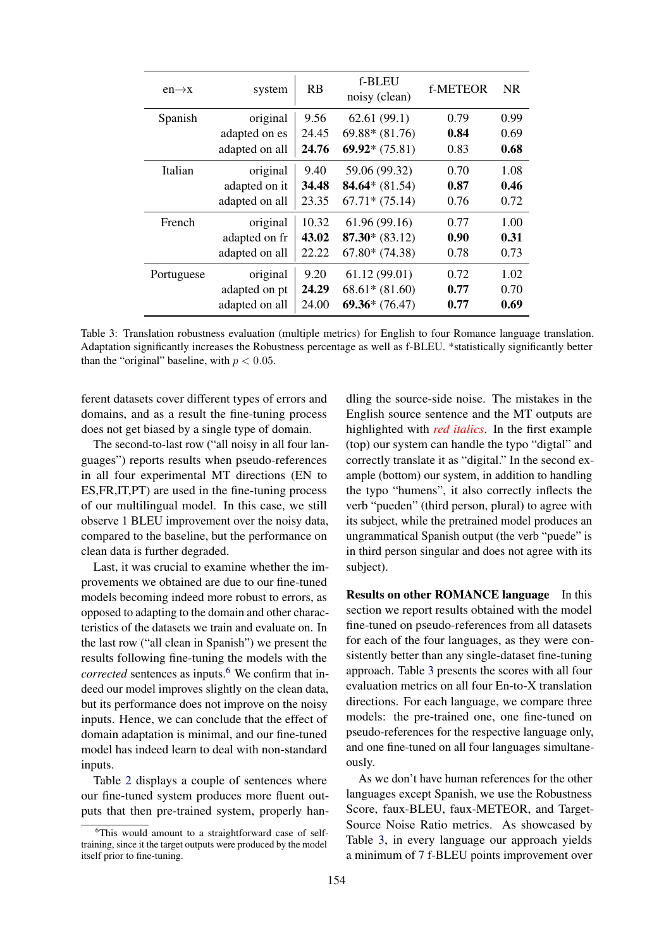<span id="page-5-1"></span>

| $en \rightarrow x$ | system         | <b>RB</b> | f-BLEU<br>noisy (clean) | <b>f-METEOR</b> | <b>NR</b> |
|--------------------|----------------|-----------|-------------------------|-----------------|-----------|
| Spanish            | original       | 9.56      | 62.61(99.1)             | 0.79            | 0.99      |
|                    | adapted on es  | 24.45     | $69.88* (81.76)$        | 0.84            | 0.69      |
|                    | adapted on all | 24.76     | $69.92*(75.81)$         | 0.83            | 0.68      |
| Italian            | original       | 9.40      | 59.06 (99.32)           | 0.70            | 1.08      |
|                    | adapted on it  | 34.48     | 84.64* $(81.54)$        | 0.87            | 0.46      |
|                    | adapted on all | 23.35     | $67.71*(75.14)$         | 0.76            | 0.72      |
| French             | original       | 10.32     | 61.96 (99.16)           | 0.77            | 1.00      |
|                    | adapted on fr  | 43.02     | $87.30*(83.12)$         | 0.90            | 0.31      |
|                    | adapted on all | 22.22     | $67.80* (74.38)$        | 0.78            | 0.73      |
| Portuguese         | original       | 9.20      | 61.12(99.01)            | 0.72            | 1.02      |
|                    | adapted on pt  | 24.29     | $68.61* (81.60)$        | 0.77            | 0.70      |
|                    | adapted on all | 24.00     | $69.36*(76.47)$         | 0.77            | 0.69      |

Table 3: Translation robustness evaluation (multiple metrics) for English to four Romance language translation. Adaptation significantly increases the Robustness percentage as well as f-BLEU. \*statistically significantly better than the "original" baseline, with  $p < 0.05$ .

ferent datasets cover different types of errors and domains, and as a result the fine-tuning process does not get biased by a single type of domain.

The second-to-last row ("all noisy in all four languages") reports results when pseudo-references in all four experimental MT directions (EN to ES,FR,IT,PT) are used in the fine-tuning process of our multilingual model. In this case, we still observe 1 BLEU improvement over the noisy data, compared to the baseline, but the performance on clean data is further degraded.

Last, it was crucial to examine whether the improvements we obtained are due to our fine-tuned models becoming indeed more robust to errors, as opposed to adapting to the domain and other characteristics of the datasets we train and evaluate on. In the last row ("all clean in Spanish") we present the results following fine-tuning the models with the *corrected* sentences as inputs.<sup>[6](#page-5-0)</sup> We confirm that indeed our model improves slightly on the clean data, but its performance does not improve on the noisy inputs. Hence, we can conclude that the effect of domain adaptation is minimal, and our fine-tuned model has indeed learn to deal with non-standard inputs.

Table [2](#page-4-1) displays a couple of sentences where our fine-tuned system produces more fluent outputs that then pre-trained system, properly han-

dling the source-side noise. The mistakes in the English source sentence and the MT outputs are highlighted with *red italics*. In the first example (top) our system can handle the typo "digtal" and correctly translate it as "digital." In the second example (bottom) our system, in addition to handling the typo "humens", it also correctly inflects the verb "pueden" (third person, plural) to agree with its subject, while the pretrained model produces an ungrammatical Spanish output (the verb "puede" is in third person singular and does not agree with its subject).

Results on other ROMANCE language In this section we report results obtained with the model fine-tuned on pseudo-references from all datasets for each of the four languages, as they were consistently better than any single-dataset fine-tuning approach. Table [3](#page-5-1) presents the scores with all four evaluation metrics on all four En-to-X translation directions. For each language, we compare three models: the pre-trained one, one fine-tuned on pseudo-references for the respective language only, and one fine-tuned on all four languages simultaneously.

As we don't have human references for the other languages except Spanish, we use the Robustness Score, faux-BLEU, faux-METEOR, and Target-Source Noise Ratio metrics. As showcased by Table [3,](#page-5-1) in every language our approach yields a minimum of 7 f-BLEU points improvement over

<span id="page-5-0"></span><sup>&</sup>lt;sup>6</sup>This would amount to a straightforward case of selftraining, since it the target outputs were produced by the model itself prior to fine-tuning.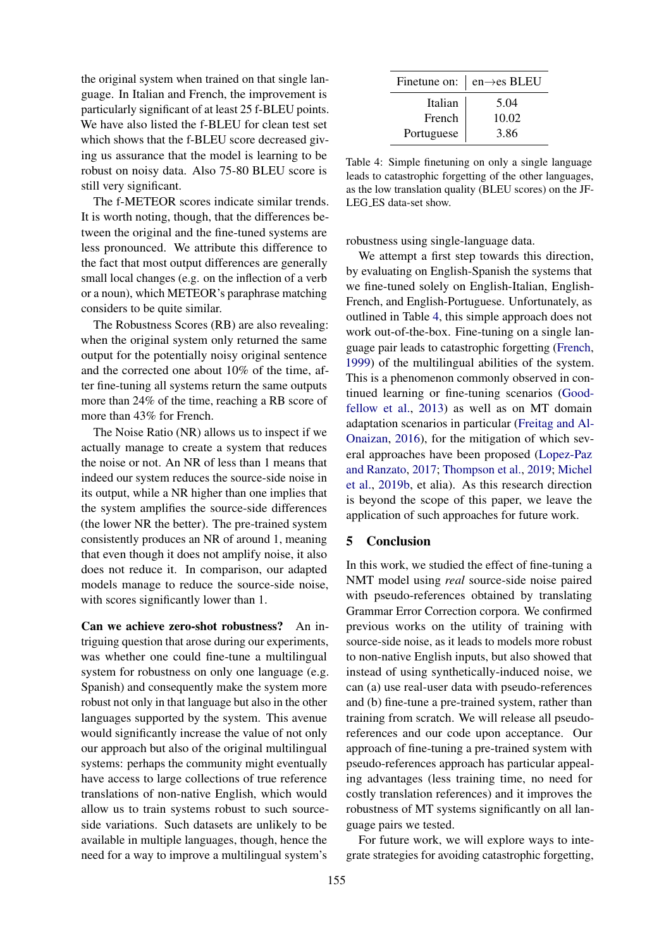the original system when trained on that single language. In Italian and French, the improvement is particularly significant of at least 25 f-BLEU points. We have also listed the f-BLEU for clean test set which shows that the f-BLEU score decreased giving us assurance that the model is learning to be robust on noisy data. Also 75-80 BLEU score is still very significant.

The f-METEOR scores indicate similar trends. It is worth noting, though, that the differences between the original and the fine-tuned systems are less pronounced. We attribute this difference to the fact that most output differences are generally small local changes (e.g. on the inflection of a verb or a noun), which METEOR's paraphrase matching considers to be quite similar.

The Robustness Scores (RB) are also revealing: when the original system only returned the same output for the potentially noisy original sentence and the corrected one about 10% of the time, after fine-tuning all systems return the same outputs more than 24% of the time, reaching a RB score of more than 43% for French.

The Noise Ratio (NR) allows us to inspect if we actually manage to create a system that reduces the noise or not. An NR of less than 1 means that indeed our system reduces the source-side noise in its output, while a NR higher than one implies that the system amplifies the source-side differences (the lower NR the better). The pre-trained system consistently produces an NR of around 1, meaning that even though it does not amplify noise, it also does not reduce it. In comparison, our adapted models manage to reduce the source-side noise, with scores significantly lower than 1.

Can we achieve zero-shot robustness? An intriguing question that arose during our experiments, was whether one could fine-tune a multilingual system for robustness on only one language (e.g. Spanish) and consequently make the system more robust not only in that language but also in the other languages supported by the system. This avenue would significantly increase the value of not only our approach but also of the original multilingual systems: perhaps the community might eventually have access to large collections of true reference translations of non-native English, which would allow us to train systems robust to such sourceside variations. Such datasets are unlikely to be available in multiple languages, though, hence the need for a way to improve a multilingual system's

<span id="page-6-0"></span>

|            | Finetune on: $\vert$ en $\rightarrow$ es BLEU |  |
|------------|-----------------------------------------------|--|
| Italian    | 5.04                                          |  |
| French     | 10.02                                         |  |
| Portuguese | 3.86                                          |  |

Table 4: Simple finetuning on only a single language leads to catastrophic forgetting of the other languages, as the low translation quality (BLEU scores) on the JF-LEG ES data-set show.

robustness using single-language data.

We attempt a first step towards this direction, by evaluating on English-Spanish the systems that we fine-tuned solely on English-Italian, English-French, and English-Portuguese. Unfortunately, as outlined in Table [4,](#page-6-0) this simple approach does not work out-of-the-box. Fine-tuning on a single language pair leads to catastrophic forgetting [\(French,](#page-7-14) [1999\)](#page-7-14) of the multilingual abilities of the system. This is a phenomenon commonly observed in continued learning or fine-tuning scenarios [\(Good](#page-7-15)[fellow et al.,](#page-7-15) [2013\)](#page-7-15) as well as on MT domain adaptation scenarios in particular [\(Freitag and Al-](#page-7-16)[Onaizan,](#page-7-16) [2016\)](#page-7-16), for the mitigation of which several approaches have been proposed [\(Lopez-Paz](#page-8-16) [and Ranzato,](#page-8-16) [2017;](#page-8-16) [Thompson et al.,](#page-9-15) [2019;](#page-9-15) [Michel](#page-8-17) [et al.,](#page-8-17) [2019b,](#page-8-17) et alia). As this research direction is beyond the scope of this paper, we leave the application of such approaches for future work.

## 5 Conclusion

In this work, we studied the effect of fine-tuning a NMT model using *real* source-side noise paired with pseudo-references obtained by translating Grammar Error Correction corpora. We confirmed previous works on the utility of training with source-side noise, as it leads to models more robust to non-native English inputs, but also showed that instead of using synthetically-induced noise, we can (a) use real-user data with pseudo-references and (b) fine-tune a pre-trained system, rather than training from scratch. We will release all pseudoreferences and our code upon acceptance. Our approach of fine-tuning a pre-trained system with pseudo-references approach has particular appealing advantages (less training time, no need for costly translation references) and it improves the robustness of MT systems significantly on all language pairs we tested.

For future work, we will explore ways to integrate strategies for avoiding catastrophic forgetting,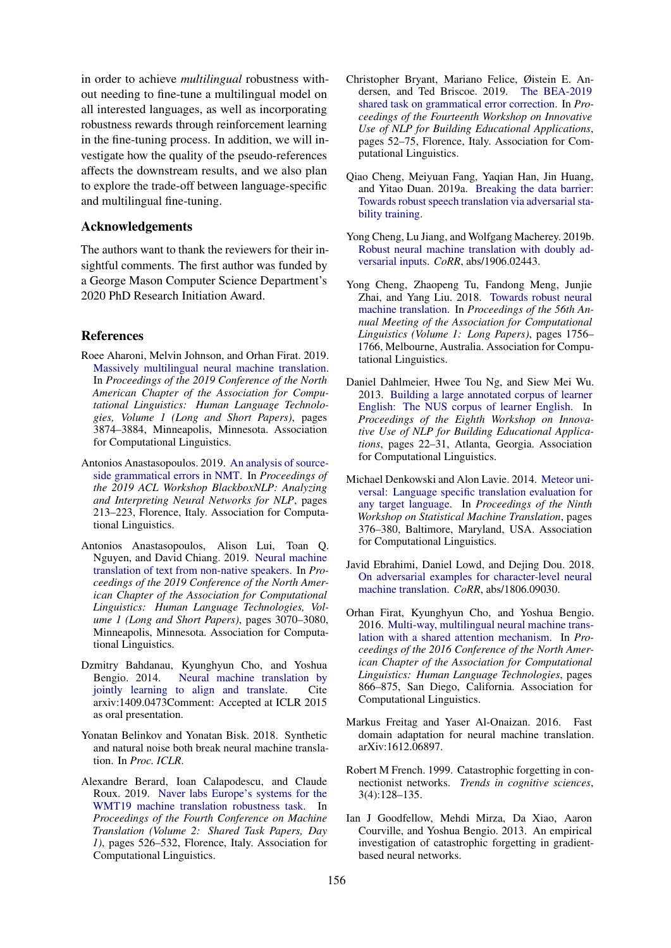in order to achieve *multilingual* robustness without needing to fine-tune a multilingual model on all interested languages, as well as incorporating robustness rewards through reinforcement learning in the fine-tuning process. In addition, we will investigate how the quality of the pseudo-references affects the downstream results, and we also plan to explore the trade-off between language-specific and multilingual fine-tuning.

#### Acknowledgements

The authors want to thank the reviewers for their insightful comments. The first author was funded by a George Mason Computer Science Department's 2020 PhD Research Initiation Award.

#### References

- <span id="page-7-1"></span>Roee Aharoni, Melvin Johnson, and Orhan Firat. 2019. [Massively multilingual neural machine translation.](https://doi.org/10.18653/v1/N19-1388) In *Proceedings of the 2019 Conference of the North American Chapter of the Association for Computational Linguistics: Human Language Technologies, Volume 1 (Long and Short Papers)*, pages 3874–3884, Minneapolis, Minnesota. Association for Computational Linguistics.
- <span id="page-7-9"></span>Antonios Anastasopoulos. 2019. [An analysis of source](https://doi.org/10.18653/v1/W19-4822)[side grammatical errors in NMT.](https://doi.org/10.18653/v1/W19-4822) In *Proceedings of the 2019 ACL Workshop BlackboxNLP: Analyzing and Interpreting Neural Networks for NLP*, pages 213–223, Florence, Italy. Association for Computational Linguistics.
- <span id="page-7-3"></span>Antonios Anastasopoulos, Alison Lui, Toan Q. Nguyen, and David Chiang. 2019. [Neural machine](https://doi.org/10.18653/v1/N19-1311) [translation of text from non-native speakers.](https://doi.org/10.18653/v1/N19-1311) In *Proceedings of the 2019 Conference of the North American Chapter of the Association for Computational Linguistics: Human Language Technologies, Volume 1 (Long and Short Papers)*, pages 3070–3080, Minneapolis, Minnesota. Association for Computational Linguistics.
- <span id="page-7-0"></span>Dzmitry Bahdanau, Kyunghyun Cho, and Yoshua Bengio. 2014. [Neural machine translation by](http://arxiv.org/abs/1409.0473) [jointly learning to align and translate.](http://arxiv.org/abs/1409.0473) Cite arxiv:1409.0473Comment: Accepted at ICLR 2015 as oral presentation.
- <span id="page-7-2"></span>Yonatan Belinkov and Yonatan Bisk. 2018. Synthetic and natural noise both break neural machine translation. In *Proc. ICLR*.
- <span id="page-7-5"></span>Alexandre Berard, Ioan Calapodescu, and Claude Roux. 2019. [Naver labs Europe's systems for the](https://doi.org/10.18653/v1/W19-5361) [WMT19 machine translation robustness task.](https://doi.org/10.18653/v1/W19-5361) In *Proceedings of the Fourth Conference on Machine Translation (Volume 2: Shared Task Papers, Day 1)*, pages 526–532, Florence, Italy. Association for Computational Linguistics.
- <span id="page-7-10"></span>Christopher Bryant, Mariano Felice, Øistein E. Andersen, and Ted Briscoe. 2019. [The BEA-2019](https://doi.org/10.18653/v1/W19-4406) [shared task on grammatical error correction.](https://doi.org/10.18653/v1/W19-4406) In *Proceedings of the Fourteenth Workshop on Innovative Use of NLP for Building Educational Applications*, pages 52–75, Florence, Italy. Association for Computational Linguistics.
- <span id="page-7-7"></span>Qiao Cheng, Meiyuan Fang, Yaqian Han, Jin Huang, and Yitao Duan. 2019a. [Breaking the data barrier:](http://arxiv.org/abs/1909.11430) [Towards robust speech translation via adversarial sta](http://arxiv.org/abs/1909.11430)[bility training.](http://arxiv.org/abs/1909.11430)
- <span id="page-7-8"></span>Yong Cheng, Lu Jiang, and Wolfgang Macherey. 2019b. [Robust neural machine translation with doubly ad](http://arxiv.org/abs/1906.02443)[versarial inputs.](http://arxiv.org/abs/1906.02443) *CoRR*, abs/1906.02443.
- <span id="page-7-4"></span>Yong Cheng, Zhaopeng Tu, Fandong Meng, Junjie Zhai, and Yang Liu. 2018. [Towards robust neural](https://doi.org/10.18653/v1/P18-1163) [machine translation.](https://doi.org/10.18653/v1/P18-1163) In *Proceedings of the 56th Annual Meeting of the Association for Computational Linguistics (Volume 1: Long Papers)*, pages 1756– 1766, Melbourne, Australia. Association for Computational Linguistics.
- <span id="page-7-11"></span>Daniel Dahlmeier, Hwee Tou Ng, and Siew Mei Wu. 2013. [Building a large annotated corpus of learner](https://www.aclweb.org/anthology/W13-1703) [English: The NUS corpus of learner English.](https://www.aclweb.org/anthology/W13-1703) In *Proceedings of the Eighth Workshop on Innovative Use of NLP for Building Educational Applications*, pages 22–31, Atlanta, Georgia. Association for Computational Linguistics.
- <span id="page-7-13"></span>Michael Denkowski and Alon Lavie. 2014. [Meteor uni](https://doi.org/10.3115/v1/W14-3348)[versal: Language specific translation evaluation for](https://doi.org/10.3115/v1/W14-3348) [any target language.](https://doi.org/10.3115/v1/W14-3348) In *Proceedings of the Ninth Workshop on Statistical Machine Translation*, pages 376–380, Baltimore, Maryland, USA. Association for Computational Linguistics.
- <span id="page-7-6"></span>Javid Ebrahimi, Daniel Lowd, and Dejing Dou. 2018. [On adversarial examples for character-level neural](http://arxiv.org/abs/1806.09030) [machine translation.](http://arxiv.org/abs/1806.09030) *CoRR*, abs/1806.09030.
- <span id="page-7-12"></span>Orhan Firat, Kyunghyun Cho, and Yoshua Bengio. 2016. [Multi-way, multilingual neural machine trans](https://doi.org/10.18653/v1/N16-1101)[lation with a shared attention mechanism.](https://doi.org/10.18653/v1/N16-1101) In *Proceedings of the 2016 Conference of the North American Chapter of the Association for Computational Linguistics: Human Language Technologies*, pages 866–875, San Diego, California. Association for Computational Linguistics.
- <span id="page-7-16"></span>Markus Freitag and Yaser Al-Onaizan. 2016. Fast domain adaptation for neural machine translation. arXiv:1612.06897.
- <span id="page-7-14"></span>Robert M French. 1999. Catastrophic forgetting in connectionist networks. *Trends in cognitive sciences*, 3(4):128–135.
- <span id="page-7-15"></span>Ian J Goodfellow, Mehdi Mirza, Da Xiao, Aaron Courville, and Yoshua Bengio. 2013. An empirical investigation of catastrophic forgetting in gradientbased neural networks.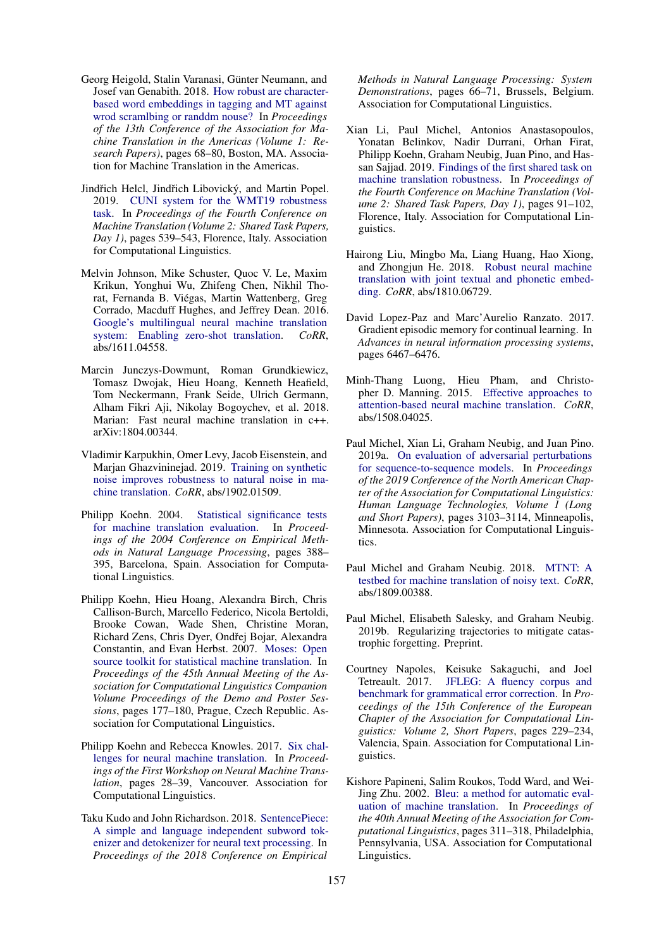- <span id="page-8-2"></span>Georg Heigold, Stalin Varanasi, Günter Neumann, and Josef van Genabith. 2018. [How robust are character](https://www.aclweb.org/anthology/W18-1807)[based word embeddings in tagging and MT against](https://www.aclweb.org/anthology/W18-1807) [wrod scramlbing or randdm nouse?](https://www.aclweb.org/anthology/W18-1807) In *Proceedings of the 13th Conference of the Association for Machine Translation in the Americas (Volume 1: Research Papers)*, pages 68–80, Boston, MA. Association for Machine Translation in the Americas.
- <span id="page-8-4"></span>Jindřich Helcl, Jindřich Libovický, and Martin Popel. 2019. [CUNI system for the WMT19 robustness](https://doi.org/10.18653/v1/W19-5364) [task.](https://doi.org/10.18653/v1/W19-5364) In *Proceedings of the Fourth Conference on Machine Translation (Volume 2: Shared Task Papers, Day 1)*, pages 539–543, Florence, Italy. Association for Computational Linguistics.
- <span id="page-8-13"></span>Melvin Johnson, Mike Schuster, Quoc V. Le, Maxim Krikun, Yonghui Wu, Zhifeng Chen, Nikhil Thorat, Fernanda B. Viegas, Martin Wattenberg, Greg ´ Corrado, Macduff Hughes, and Jeffrey Dean. 2016. [Google's multilingual neural machine translation](http://arxiv.org/abs/1611.04558) [system: Enabling zero-shot translation.](http://arxiv.org/abs/1611.04558) *CoRR*, abs/1611.04558.
- <span id="page-8-14"></span>Marcin Junczys-Dowmunt, Roman Grundkiewicz, Tomasz Dwojak, Hieu Hoang, Kenneth Heafield, Tom Neckermann, Frank Seide, Ulrich Germann, Alham Fikri Aji, Nikolay Bogoychev, et al. 2018. Marian: Fast neural machine translation in c++. arXiv:1804.00344.
- <span id="page-8-6"></span>Vladimir Karpukhin, Omer Levy, Jacob Eisenstein, and Marjan Ghazvininejad. 2019. [Training on synthetic](http://arxiv.org/abs/1902.01509) [noise improves robustness to natural noise in ma](http://arxiv.org/abs/1902.01509)[chine translation.](http://arxiv.org/abs/1902.01509) *CoRR*, abs/1902.01509.
- <span id="page-8-15"></span>Philipp Koehn. 2004. [Statistical significance tests](https://www.aclweb.org/anthology/W04-3250) [for machine translation evaluation.](https://www.aclweb.org/anthology/W04-3250) In *Proceedings of the 2004 Conference on Empirical Methods in Natural Language Processing*, pages 388– 395, Barcelona, Spain. Association for Computational Linguistics.
- <span id="page-8-11"></span>Philipp Koehn, Hieu Hoang, Alexandra Birch, Chris Callison-Burch, Marcello Federico, Nicola Bertoldi, Brooke Cowan, Wade Shen, Christine Moran, Richard Zens, Chris Dyer, Ondřej Bojar, Alexandra Constantin, and Evan Herbst. 2007. [Moses: Open](https://www.aclweb.org/anthology/P07-2045) [source toolkit for statistical machine translation.](https://www.aclweb.org/anthology/P07-2045) In *Proceedings of the 45th Annual Meeting of the Association for Computational Linguistics Companion Volume Proceedings of the Demo and Poster Sessions*, pages 177–180, Prague, Czech Republic. Association for Computational Linguistics.
- <span id="page-8-1"></span>Philipp Koehn and Rebecca Knowles. 2017. [Six chal](https://doi.org/10.18653/v1/W17-3204)[lenges for neural machine translation.](https://doi.org/10.18653/v1/W17-3204) In *Proceedings of the First Workshop on Neural Machine Translation*, pages 28–39, Vancouver. Association for Computational Linguistics.
- <span id="page-8-12"></span>Taku Kudo and John Richardson. 2018. [SentencePiece:](https://doi.org/10.18653/v1/D18-2012) [A simple and language independent subword tok](https://doi.org/10.18653/v1/D18-2012)[enizer and detokenizer for neural text processing.](https://doi.org/10.18653/v1/D18-2012) In *Proceedings of the 2018 Conference on Empirical*

*Methods in Natural Language Processing: System Demonstrations*, pages 66–71, Brussels, Belgium. Association for Computational Linguistics.

- <span id="page-8-3"></span>Xian Li, Paul Michel, Antonios Anastasopoulos, Yonatan Belinkov, Nadir Durrani, Orhan Firat, Philipp Koehn, Graham Neubig, Juan Pino, and Hassan Sajjad. 2019. [Findings of the first shared task on](https://doi.org/10.18653/v1/W19-5303) [machine translation robustness.](https://doi.org/10.18653/v1/W19-5303) In *Proceedings of the Fourth Conference on Machine Translation (Volume 2: Shared Task Papers, Day 1)*, pages 91–102, Florence, Italy. Association for Computational Linguistics.
- <span id="page-8-5"></span>Hairong Liu, Mingbo Ma, Liang Huang, Hao Xiong, and Zhongjun He. 2018. [Robust neural machine](http://arxiv.org/abs/1810.06729) [translation with joint textual and phonetic embed](http://arxiv.org/abs/1810.06729)[ding.](http://arxiv.org/abs/1810.06729) *CoRR*, abs/1810.06729.
- <span id="page-8-16"></span>David Lopez-Paz and Marc'Aurelio Ranzato. 2017. Gradient episodic memory for continual learning. In *Advances in neural information processing systems*, pages 6467–6476.
- <span id="page-8-0"></span>Minh-Thang Luong, Hieu Pham, and Christopher D. Manning. 2015. [Effective approaches to](http://arxiv.org/abs/1508.04025) [attention-based neural machine translation.](http://arxiv.org/abs/1508.04025) *CoRR*, abs/1508.04025.
- <span id="page-8-8"></span>Paul Michel, Xian Li, Graham Neubig, and Juan Pino. 2019a. [On evaluation of adversarial perturbations](https://doi.org/10.18653/v1/N19-1314) [for sequence-to-sequence models.](https://doi.org/10.18653/v1/N19-1314) In *Proceedings of the 2019 Conference of the North American Chapter of the Association for Computational Linguistics: Human Language Technologies, Volume 1 (Long and Short Papers)*, pages 3103–3114, Minneapolis, Minnesota. Association for Computational Linguistics.
- <span id="page-8-7"></span>Paul Michel and Graham Neubig. 2018. [MTNT: A](http://arxiv.org/abs/1809.00388) [testbed for machine translation of noisy text.](http://arxiv.org/abs/1809.00388) *CoRR*, abs/1809.00388.
- <span id="page-8-17"></span>Paul Michel, Elisabeth Salesky, and Graham Neubig. 2019b. Regularizing trajectories to mitigate catastrophic forgetting. Preprint.
- <span id="page-8-9"></span>Courtney Napoles, Keisuke Sakaguchi, and Joel Tetreault. 2017. [JFLEG: A fluency corpus and](https://www.aclweb.org/anthology/E17-2037) [benchmark for grammatical error correction.](https://www.aclweb.org/anthology/E17-2037) In *Proceedings of the 15th Conference of the European Chapter of the Association for Computational Linguistics: Volume 2, Short Papers*, pages 229–234, Valencia, Spain. Association for Computational Linguistics.
- <span id="page-8-10"></span>Kishore Papineni, Salim Roukos, Todd Ward, and Wei-Jing Zhu. 2002. [Bleu: a method for automatic eval](https://doi.org/10.3115/1073083.1073135)[uation of machine translation.](https://doi.org/10.3115/1073083.1073135) In *Proceedings of the 40th Annual Meeting of the Association for Computational Linguistics*, pages 311–318, Philadelphia, Pennsylvania, USA. Association for Computational Linguistics.